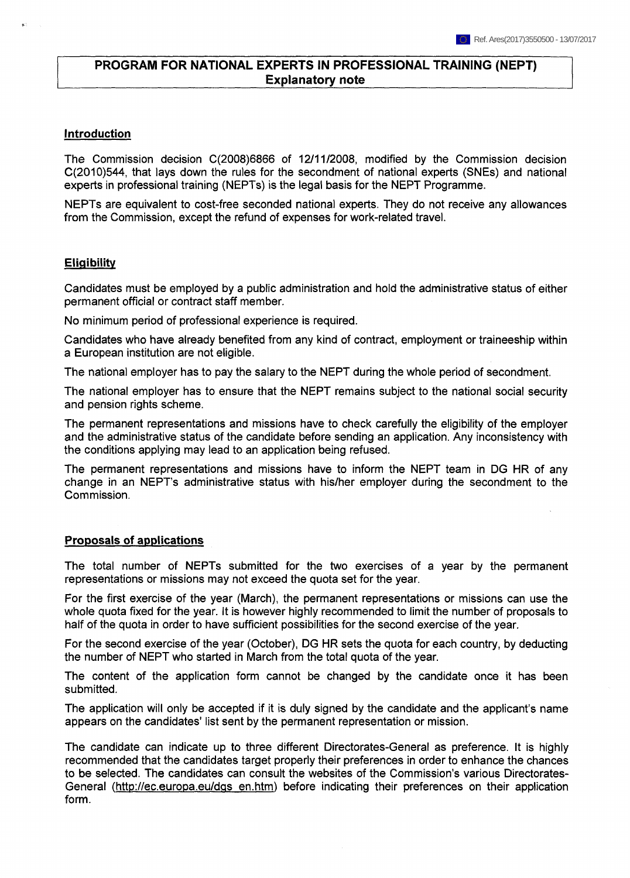# **PROGRAM FOR NATIONAL EXPERTS IN PROFESSIONAL TRAINING (NEPT) Explanatory** note

#### **Introduction**

The Commission decision C(2008)6866 of 12/11/2008, modified by the Commission decision C(2010)544, that lays down the rules for the secondment of national experts (SNEs) and national experts in professional training (NEPTs) is the legal basis for the NEPT Programme.

NEPTs are equivalent to cost-free seconded national experts. They do not receive any allowances from the Commission, except the refund of expenses for work-related travel.

#### **Eligibility**

Candidates must be employed by a public administration and hold the administrative status of either permanent official or contract staff member.

No minimum period of professional experience is required.

Candidates who have already benefited from any kind of contract, employment or traineeship within a European institution are not eligible.

The national employer has to pay the salary to the NEPT during the whole period of secondment.

The national employer has to ensure that the NEPT remains subject to the national social security and pension rights scheme.

The permanent representations and missions have to check carefully the eligibility of the employer and the administrative status of the candidate before sending an application. Any inconsistency with the conditions applying may lead to an application being refused.

The permanent representations and missions have to inform the NEPT team in DG HR of any change in an NEPT's administrative status with his/her employer during the secondment to the Commission.

### **Proposals of applications**

The total number of NEPTs submitted for the two exercises of a year by the permanent representations or missions may not exceed the quota set for the year.

For the first exercise of the year (March), the permanent representations or missions can use the whole quota fixed for the year. It is however highly recommended to limit the number of proposals to half of the quota in order to have sufficient possibilities for the second exercise of the year.

For the second exercise of the year (October), DG HR sets the quota for each country, by deducting the number of NEPT who started in March from the total quota of the year.

The content of the application form cannot be changed by the candidate once it has been submitted.

The application will only be accepted if it is duly signed by the candidate and the applicant's name appears on the candidates' list sent by the permanent representation or mission.

The candidate can indicate up to three different Directorates-General as preference. It is highly recommended that the candidates target properly their preferences in order to enhance the chances to be selected. The candidates can consult the websites of the Commission's various Directorates-General (<http://ec.europa.eu/dqs> en.htm) before indicating their preferences on their application form.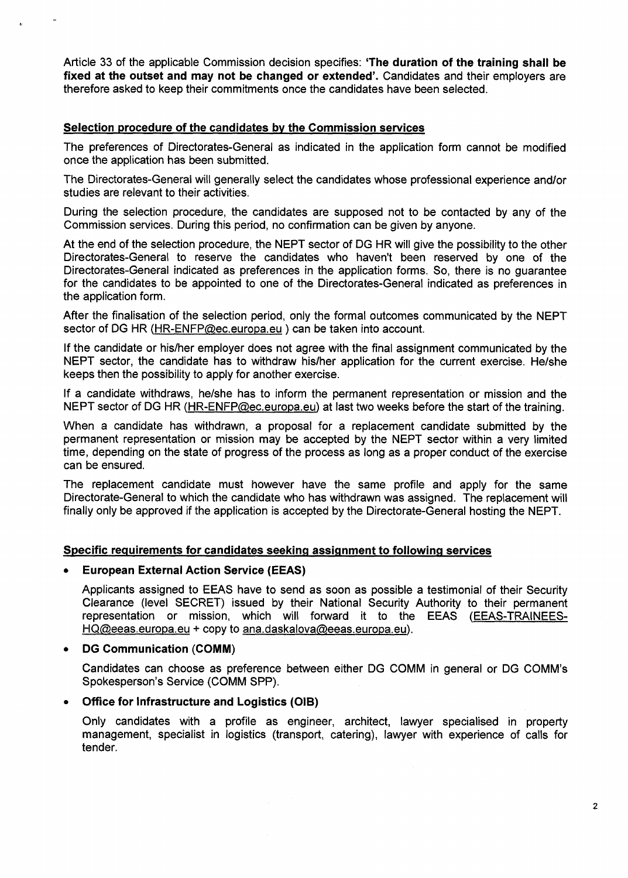Article 33 of the applicable Commission decision specifies: **'The duration of the training shall be fixed at the outset and may not be changed or extended'.** Candidates and their employers are therefore asked to keep their commitments once the candidates have been selected.

# **Selection procedure of the candidates by the Commission services**

The preferences of Directorates-General as indicated in the application form cannot be modified once the application has been submitted.

The Directorates-General will generally select the candidates whose professional experience and/or studies are relevant to their activities.

During the selection procedure, the candidates are supposed not to be contacted by any of the Commission services. During this period, no confirmation can be given by anyone.

At the end of the selection procedure, the NEPT sector of DG HR will give the possibility to the other Directorates-General to reserve the candidates who haven't been reserved by one of the Directorates-General indicated as preferences in the application forms. So, there is no guarantee for the candidates to be appointed to one of the Directorates-General indicated as preferences in the application form.

After the finalisation of the selection period, only the formal outcomes communicated by the NEPT sector of DG HR [\(HR-ENFP@ec.europa.eu](mailto:HR-ENFP@ec.europa.eu) ) can be taken into account.

If the candidate or his/her employer does not agree with the final assignment communicated by the NEPT sector, the candidate has to withdraw his/her application for the current exercise. He/she keeps then the possibility to apply for another exercise.

If a candidate withdraws, he/she has to inform the permanent representation or mission and the NEPT sector of DG HR ([HR-ENFP@ec.europa.eu\)](mailto:HR-ENFP@ec.europa.eu) at last two weeks before the start of the training.

When a candidate has withdrawn, a proposal for a replacement candidate submitted by the permanent representation or mission may be accepted by the NEPT sector within a very limited time, depending on the state of progress of the process as long as a proper conduct of the exercise can be ensured.

The replacement candidate must however have the same profile and apply for the same Directorate-General to which the candidate who has withdrawn was assigned. The replacement will finally only be approved if the application is accepted by the Directorate-General hosting the NEPT.

### **Specific requirements for candidates seeking assignment to following services**

### **• European External Action Service (EEAS)**

Applicants assigned to EEAS have to send as soon as possible a testimonial of their Security Clearance (level SECRET) issued by their National Security Authority to their permanent representation or mission, which will forward it to the EEAS ([EEAS-TRAINEES-](mailto:EEAS-TRAINEES-HQ@eeas.europa.eu)[HQ@eeas.europa.eu](mailto:EEAS-TRAINEES-HQ@eeas.europa.eu) + copy to [ana.daskalova@eeas.europa.eu\)](mailto:ana.daskalova@eeas.europa.eu).

### **• DG Communication (COMM)**

Candidates can choose as preference between either DG COMM in general or DG COMM's Spokesperson's Service (COMM SPP).

### **• Office for Infrastructure and Logistics (OIB)**

Only candidates with a profile as engineer, architect, lawyer specialised in property management, specialist in logistics (transport, catering), lawyer with experience of calls for tender.